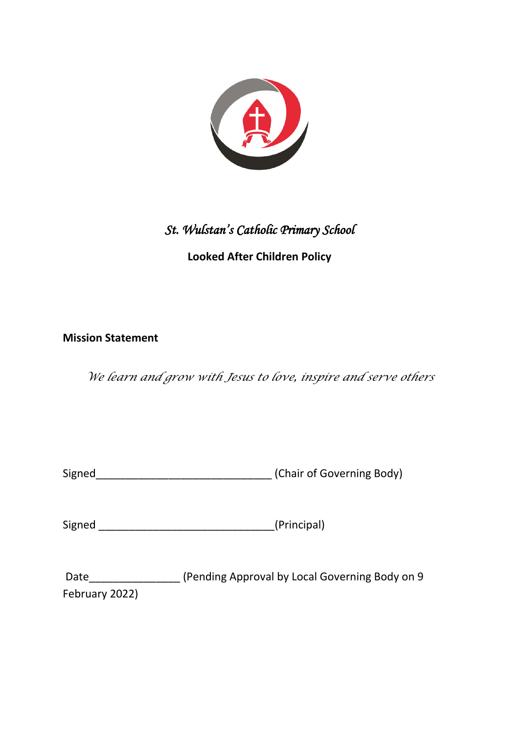

# *St. Wulstan's Catholic Primary School*

# **Looked After Children Policy**

# **Mission Statement**

*We learn and grow with Jesus to love, inspire and serve others*

| Signed | (Chair of Governing Body) |
|--------|---------------------------|

Signed \_\_\_\_\_\_\_\_\_\_\_\_\_\_\_\_\_\_\_\_\_\_\_\_\_\_\_\_\_(Principal)

Date\_\_\_\_\_\_\_\_\_\_\_\_\_\_\_ (Pending Approval by Local Governing Body on 9 February 2022)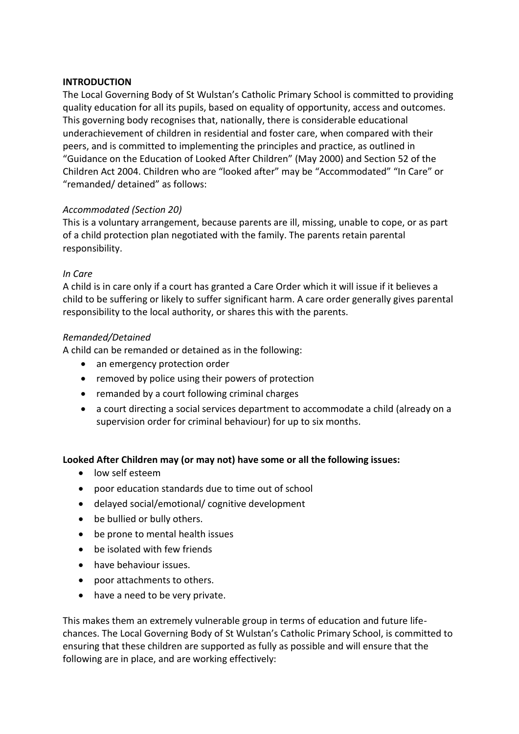#### **INTRODUCTION**

The Local Governing Body of St Wulstan's Catholic Primary School is committed to providing quality education for all its pupils, based on equality of opportunity, access and outcomes. This governing body recognises that, nationally, there is considerable educational underachievement of children in residential and foster care, when compared with their peers, and is committed to implementing the principles and practice, as outlined in "Guidance on the Education of Looked After Children" (May 2000) and Section 52 of the Children Act 2004. Children who are "looked after" may be "Accommodated" "In Care" or "remanded/ detained" as follows:

#### *Accommodated (Section 20)*

This is a voluntary arrangement, because parents are ill, missing, unable to cope, or as part of a child protection plan negotiated with the family. The parents retain parental responsibility.

#### *In Care*

A child is in care only if a court has granted a Care Order which it will issue if it believes a child to be suffering or likely to suffer significant harm. A care order generally gives parental responsibility to the local authority, or shares this with the parents.

#### *Remanded/Detained*

A child can be remanded or detained as in the following:

- an emergency protection order
- removed by police using their powers of protection
- remanded by a court following criminal charges
- a court directing a social services department to accommodate a child (already on a supervision order for criminal behaviour) for up to six months.

#### **Looked After Children may (or may not) have some or all the following issues:**

- low self esteem
- poor education standards due to time out of school
- delayed social/emotional/ cognitive development
- be bullied or bully others.
- be prone to mental health issues
- be isolated with few friends
- have behaviour issues.
- poor attachments to others.
- have a need to be very private.

This makes them an extremely vulnerable group in terms of education and future lifechances. The Local Governing Body of St Wulstan's Catholic Primary School, is committed to ensuring that these children are supported as fully as possible and will ensure that the following are in place, and are working effectively: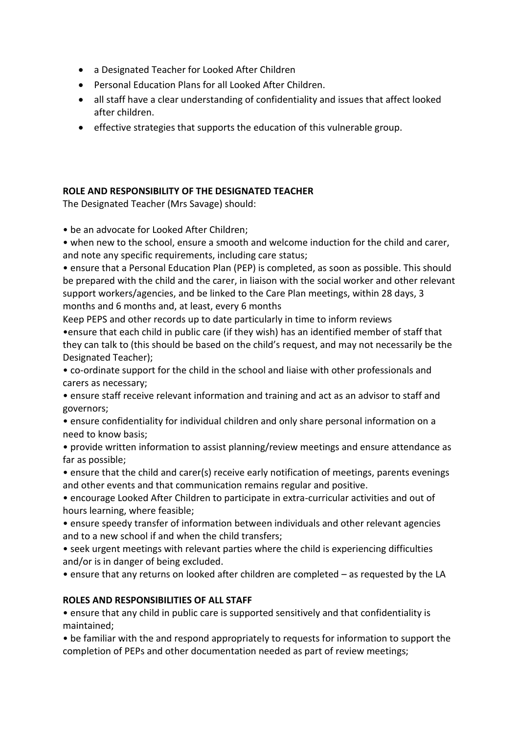- a Designated Teacher for Looked After Children
- Personal Education Plans for all Looked After Children.
- all staff have a clear understanding of confidentiality and issues that affect looked after children.
- effective strategies that supports the education of this vulnerable group.

# **ROLE AND RESPONSIBILITY OF THE DESIGNATED TEACHER**

The Designated Teacher (Mrs Savage) should:

• be an advocate for Looked After Children;

• when new to the school, ensure a smooth and welcome induction for the child and carer, and note any specific requirements, including care status;

• ensure that a Personal Education Plan (PEP) is completed, as soon as possible. This should be prepared with the child and the carer, in liaison with the social worker and other relevant support workers/agencies, and be linked to the Care Plan meetings, within 28 days, 3 months and 6 months and, at least, every 6 months

Keep PEPS and other records up to date particularly in time to inform reviews •ensure that each child in public care (if they wish) has an identified member of staff that they can talk to (this should be based on the child's request, and may not necessarily be the Designated Teacher);

• co-ordinate support for the child in the school and liaise with other professionals and carers as necessary;

• ensure staff receive relevant information and training and act as an advisor to staff and governors;

• ensure confidentiality for individual children and only share personal information on a need to know basis;

• provide written information to assist planning/review meetings and ensure attendance as far as possible;

• ensure that the child and carer(s) receive early notification of meetings, parents evenings and other events and that communication remains regular and positive.

• encourage Looked After Children to participate in extra-curricular activities and out of hours learning, where feasible;

• ensure speedy transfer of information between individuals and other relevant agencies and to a new school if and when the child transfers;

• seek urgent meetings with relevant parties where the child is experiencing difficulties and/or is in danger of being excluded.

• ensure that any returns on looked after children are completed – as requested by the LA

# **ROLES AND RESPONSIBILITIES OF ALL STAFF**

• ensure that any child in public care is supported sensitively and that confidentiality is maintained;

• be familiar with the and respond appropriately to requests for information to support the completion of PEPs and other documentation needed as part of review meetings;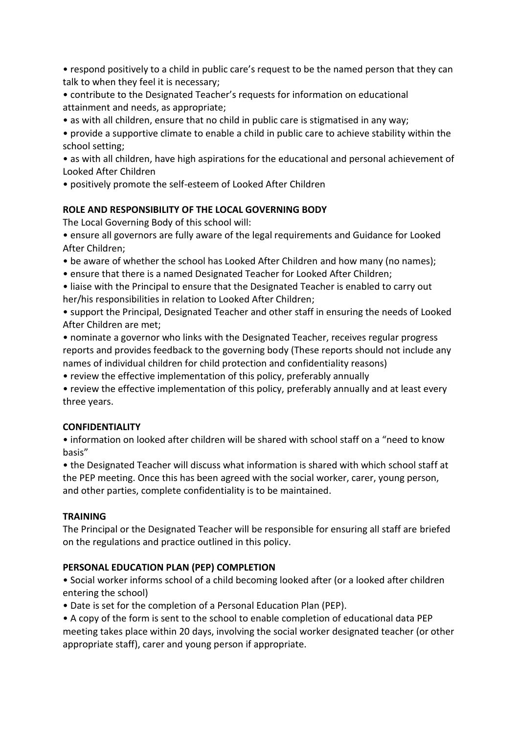• respond positively to a child in public care's request to be the named person that they can talk to when they feel it is necessary;

- contribute to the Designated Teacher's requests for information on educational attainment and needs, as appropriate;
- as with all children, ensure that no child in public care is stigmatised in any way;

• provide a supportive climate to enable a child in public care to achieve stability within the school setting;

• as with all children, have high aspirations for the educational and personal achievement of Looked After Children

• positively promote the self-esteem of Looked After Children

# **ROLE AND RESPONSIBILITY OF THE LOCAL GOVERNING BODY**

The Local Governing Body of this school will:

- ensure all governors are fully aware of the legal requirements and Guidance for Looked After Children;
- be aware of whether the school has Looked After Children and how many (no names);
- ensure that there is a named Designated Teacher for Looked After Children;
- liaise with the Principal to ensure that the Designated Teacher is enabled to carry out her/his responsibilities in relation to Looked After Children;
- support the Principal, Designated Teacher and other staff in ensuring the needs of Looked After Children are met;
- nominate a governor who links with the Designated Teacher, receives regular progress reports and provides feedback to the governing body (These reports should not include any names of individual children for child protection and confidentiality reasons)
- review the effective implementation of this policy, preferably annually
- review the effective implementation of this policy, preferably annually and at least every three years.

# **CONFIDENTIALITY**

• information on looked after children will be shared with school staff on a "need to know basis"

• the Designated Teacher will discuss what information is shared with which school staff at the PEP meeting. Once this has been agreed with the social worker, carer, young person, and other parties, complete confidentiality is to be maintained.

# **TRAINING**

The Principal or the Designated Teacher will be responsible for ensuring all staff are briefed on the regulations and practice outlined in this policy.

# **PERSONAL EDUCATION PLAN (PEP) COMPLETION**

• Social worker informs school of a child becoming looked after (or a looked after children entering the school)

- Date is set for the completion of a Personal Education Plan (PEP).
- A copy of the form is sent to the school to enable completion of educational data PEP meeting takes place within 20 days, involving the social worker designated teacher (or other appropriate staff), carer and young person if appropriate.